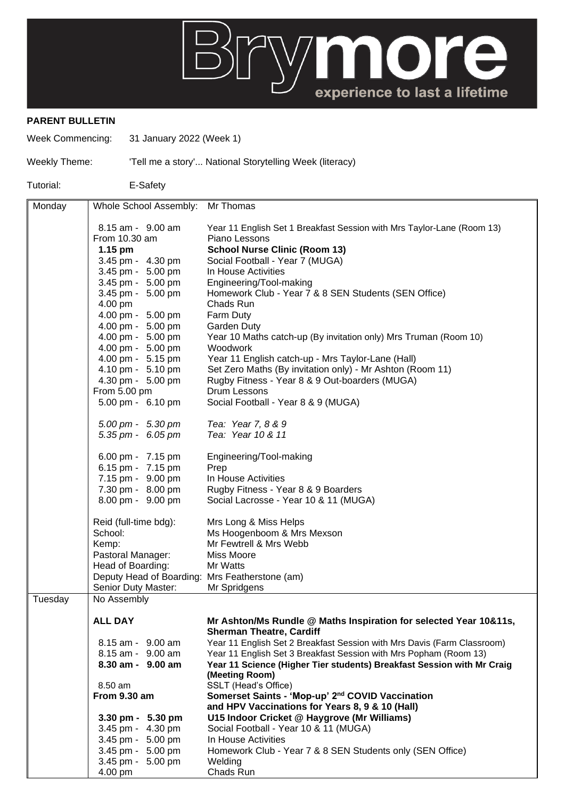

## **PARENT BULLETIN**

Week Commencing: 31 January 2022 (Week 1)

Weekly Theme: 'Tell me a story'... National Storytelling Week (literacy)

Tutorial: E-Safety

| Monday  | Whole School Assembly: Mr Thomas                         |                                                                                                |
|---------|----------------------------------------------------------|------------------------------------------------------------------------------------------------|
|         |                                                          |                                                                                                |
|         | 8.15 am - 9.00 am                                        | Year 11 English Set 1 Breakfast Session with Mrs Taylor-Lane (Room 13)                         |
|         | From 10.30 am                                            | Piano Lessons                                                                                  |
|         | $1.15$ pm                                                | <b>School Nurse Clinic (Room 13)</b>                                                           |
|         | 3.45 pm - 4.30 pm                                        | Social Football - Year 7 (MUGA)                                                                |
|         | 3.45 pm - 5.00 pm<br>3.45 pm - 5.00 pm                   | In House Activities                                                                            |
|         |                                                          | Engineering/Tool-making                                                                        |
|         | 3.45 pm - 5.00 pm<br>4.00 pm                             | Homework Club - Year 7 & 8 SEN Students (SEN Office)<br>Chads Run                              |
|         | 4.00 pm - 5.00 pm                                        | Farm Duty                                                                                      |
|         | 4.00 pm - 5.00 pm                                        | <b>Garden Duty</b>                                                                             |
|         | 4.00 pm - 5.00 pm                                        | Year 10 Maths catch-up (By invitation only) Mrs Truman (Room 10)                               |
|         | 4.00 pm - 5.00 pm                                        | Woodwork                                                                                       |
|         | 4.00 pm - 5.15 pm                                        | Year 11 English catch-up - Mrs Taylor-Lane (Hall)                                              |
|         | 4.10 pm - 5.10 pm                                        | Set Zero Maths (By invitation only) - Mr Ashton (Room 11)                                      |
|         | 4.30 pm - 5.00 pm                                        | Rugby Fitness - Year 8 & 9 Out-boarders (MUGA)                                                 |
|         | From 5.00 pm                                             | Drum Lessons                                                                                   |
|         | 5.00 pm - 6.10 pm                                        | Social Football - Year 8 & 9 (MUGA)                                                            |
|         | 5.00 pm - 5.30 pm                                        | Tea: Year 7, 8 & 9                                                                             |
|         | $5.35 \text{ pm} - 6.05 \text{ pm}$                      | Tea: Year 10 & 11                                                                              |
|         |                                                          |                                                                                                |
|         | 6.00 pm - 7.15 pm                                        | Engineering/Tool-making                                                                        |
|         | 6.15 pm - 7.15 pm                                        | Prep                                                                                           |
|         | 7.15 pm - 9.00 pm                                        | In House Activities                                                                            |
|         | 7.30 pm - 8.00 pm                                        | Rugby Fitness - Year 8 & 9 Boarders                                                            |
|         | 8.00 pm - 9.00 pm                                        | Social Lacrosse - Year 10 & 11 (MUGA)                                                          |
|         | Reid (full-time bdg):                                    | Mrs Long & Miss Helps                                                                          |
|         | School:                                                  | Ms Hoogenboom & Mrs Mexson                                                                     |
|         | Kemp:                                                    | Mr Fewtrell & Mrs Webb                                                                         |
|         | Pastoral Manager:                                        | Miss Moore                                                                                     |
|         | Head of Boarding:                                        | Mr Watts                                                                                       |
|         | Deputy Head of Boarding: Mrs Featherstone (am)           |                                                                                                |
|         | Senior Duty Master:                                      | Mr Spridgens                                                                                   |
| Tuesday | No Assembly                                              |                                                                                                |
|         | <b>ALL DAY</b>                                           | Mr Ashton/Ms Rundle @ Maths Inspiration for selected Year 10&11s,                              |
|         |                                                          | <b>Sherman Theatre, Cardiff</b>                                                                |
|         | 8.15 am - 9.00 am                                        | Year 11 English Set 2 Breakfast Session with Mrs Davis (Farm Classroom)                        |
|         | 8.15 am - 9.00 am                                        | Year 11 English Set 3 Breakfast Session with Mrs Popham (Room 13)                              |
|         | 8.30 am - 9.00 am                                        | Year 11 Science (Higher Tier students) Breakfast Session with Mr Craig                         |
|         |                                                          | (Meeting Room)                                                                                 |
|         | 8.50 am                                                  | SSLT (Head's Office)                                                                           |
|         | <b>From 9.30 am</b>                                      | Somerset Saints - 'Mop-up' 2 <sup>nd</sup> COVID Vaccination                                   |
|         |                                                          | and HPV Vaccinations for Years 8, 9 & 10 (Hall)<br>U15 Indoor Cricket @ Haygrove (Mr Williams) |
|         | $3.30 \text{ pm} - 5.30 \text{ pm}$<br>3.45 pm - 4.30 pm | Social Football - Year 10 & 11 (MUGA)                                                          |
|         | 3.45 pm - 5.00 pm                                        | In House Activities                                                                            |
|         | 3.45 pm - 5.00 pm                                        | Homework Club - Year 7 & 8 SEN Students only (SEN Office)                                      |
|         | 3.45 pm - 5.00 pm                                        | Welding                                                                                        |
|         | 4.00 pm                                                  | Chads Run                                                                                      |
|         |                                                          |                                                                                                |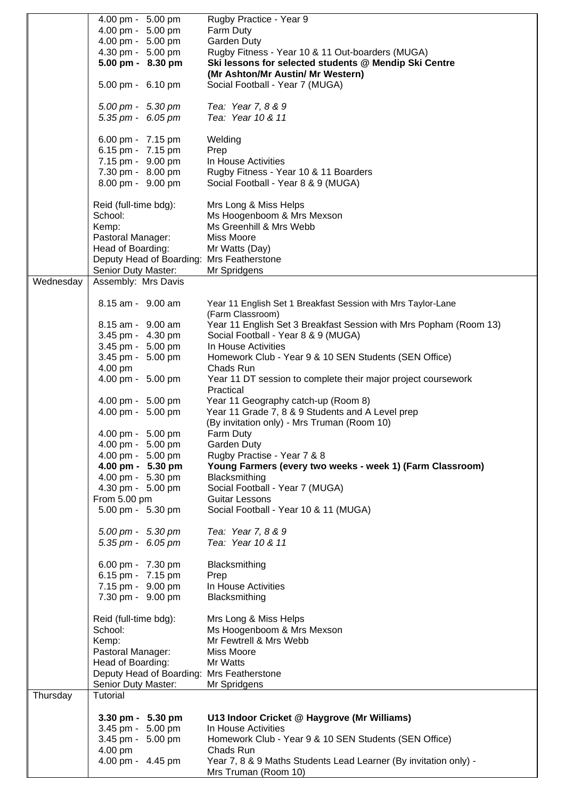|           | 4.00 pm - 5.00 pm                         | Rugby Practice - Year 9                                           |
|-----------|-------------------------------------------|-------------------------------------------------------------------|
|           |                                           |                                                                   |
|           | 4.00 pm - 5.00 pm                         | Farm Duty                                                         |
|           | 4.00 pm - 5.00 pm                         | Garden Duty                                                       |
|           | 4.30 pm - 5.00 pm                         | Rugby Fitness - Year 10 & 11 Out-boarders (MUGA)                  |
|           | 5.00 pm - 8.30 pm                         | Ski lessons for selected students @ Mendip Ski Centre             |
|           |                                           |                                                                   |
|           |                                           | (Mr Ashton/Mr Austin/ Mr Western)                                 |
|           | 5.00 pm - 6.10 pm                         | Social Football - Year 7 (MUGA)                                   |
|           |                                           |                                                                   |
|           | 5.00 pm - 5.30 pm                         | Tea: Year 7, 8 & 9                                                |
|           | 5.35 pm - 6.05 pm                         | Tea: Year 10 & 11                                                 |
|           |                                           |                                                                   |
|           |                                           |                                                                   |
|           | 6.00 pm - 7.15 pm                         | Welding                                                           |
|           | 6.15 pm - 7.15 pm                         | Prep                                                              |
|           | 7.15 pm - 9.00 pm                         | In House Activities                                               |
|           | 7.30 pm - 8.00 pm                         | Rugby Fitness - Year 10 & 11 Boarders                             |
|           |                                           |                                                                   |
|           | 8.00 pm - 9.00 pm                         | Social Football - Year 8 & 9 (MUGA)                               |
|           |                                           |                                                                   |
|           | Reid (full-time bdg):                     | Mrs Long & Miss Helps                                             |
|           | School:                                   | Ms Hoogenboom & Mrs Mexson                                        |
|           |                                           | Ms Greenhill & Mrs Webb                                           |
|           | Kemp:                                     |                                                                   |
|           | Pastoral Manager:                         | Miss Moore                                                        |
|           | Head of Boarding:                         | Mr Watts (Day)                                                    |
|           | Deputy Head of Boarding: Mrs Featherstone |                                                                   |
|           | Senior Duty Master:                       | Mr Spridgens                                                      |
| Wednesday | Assembly: Mrs Davis                       |                                                                   |
|           |                                           |                                                                   |
|           |                                           |                                                                   |
|           | 8.15 am - 9.00 am                         | Year 11 English Set 1 Breakfast Session with Mrs Taylor-Lane      |
|           |                                           | (Farm Classroom)                                                  |
|           | 8.15 am - 9.00 am                         | Year 11 English Set 3 Breakfast Session with Mrs Popham (Room 13) |
|           |                                           |                                                                   |
|           | 3.45 pm - 4.30 pm                         | Social Football - Year 8 & 9 (MUGA)                               |
|           | 3.45 pm - 5.00 pm                         | In House Activities                                               |
|           | 3.45 pm - 5.00 pm                         | Homework Club - Year 9 & 10 SEN Students (SEN Office)             |
|           | 4.00 pm                                   | Chads Run                                                         |
|           | 4.00 pm - 5.00 pm                         | Year 11 DT session to complete their major project coursework     |
|           |                                           |                                                                   |
|           |                                           | Practical                                                         |
|           | 4.00 pm - 5.00 pm                         | Year 11 Geography catch-up (Room 8)                               |
|           | 4.00 pm - 5.00 pm                         | Year 11 Grade 7, 8 & 9 Students and A Level prep                  |
|           |                                           | (By invitation only) - Mrs Truman (Room 10)                       |
|           |                                           |                                                                   |
|           | 4.00 pm - 5.00 pm                         | Farm Duty                                                         |
|           | 4.00 pm - 5.00 pm                         | Garden Duty                                                       |
|           | 4.00 pm - 5.00 pm                         | Rugby Practise - Year 7 & 8                                       |
|           | 4.00 pm - 5.30 pm                         | Young Farmers (every two weeks - week 1) (Farm Classroom)         |
|           | 4.00 pm - 5.30 pm                         | Blacksmithing                                                     |
|           |                                           |                                                                   |
|           | 4.30 pm - 5.00 pm                         | Social Football - Year 7 (MUGA)                                   |
|           | From 5.00 pm                              | <b>Guitar Lessons</b>                                             |
|           | 5.00 pm - 5.30 pm                         | Social Football - Year 10 & 11 (MUGA)                             |
|           |                                           |                                                                   |
|           | 5.00 pm - 5.30 pm                         | Tea: Year 7, 8 & 9                                                |
|           |                                           |                                                                   |
|           | 5.35 pm - 6.05 pm                         | Tea: Year 10 & 11                                                 |
|           |                                           |                                                                   |
|           | 6.00 pm - 7.30 pm                         | Blacksmithing                                                     |
|           | 6.15 pm - 7.15 pm                         | Prep                                                              |
|           | 7.15 pm - 9.00 pm                         | In House Activities                                               |
|           |                                           |                                                                   |
|           | 7.30 pm - 9.00 pm                         | Blacksmithing                                                     |
|           |                                           |                                                                   |
|           | Reid (full-time bdg):                     | Mrs Long & Miss Helps                                             |
|           | School:                                   | Ms Hoogenboom & Mrs Mexson                                        |
|           | Kemp:                                     | Mr Fewtrell & Mrs Webb                                            |
|           |                                           |                                                                   |
|           | Pastoral Manager:                         | Miss Moore                                                        |
|           | Head of Boarding:                         | Mr Watts                                                          |
|           | Deputy Head of Boarding: Mrs Featherstone |                                                                   |
|           | Senior Duty Master:                       | Mr Spridgens                                                      |
| Thursday  | Tutorial                                  |                                                                   |
|           |                                           |                                                                   |
|           |                                           |                                                                   |
|           | 3.30 pm - 5.30 pm                         | U13 Indoor Cricket @ Haygrove (Mr Williams)                       |
|           | 3.45 pm - 5.00 pm                         | In House Activities                                               |
|           | 3.45 pm - 5.00 pm                         | Homework Club - Year 9 & 10 SEN Students (SEN Office)             |
|           | 4.00 pm                                   | Chads Run                                                         |
|           |                                           |                                                                   |
|           | 4.00 pm - 4.45 pm                         | Year 7, 8 & 9 Maths Students Lead Learner (By invitation only) -  |
|           |                                           | Mrs Truman (Room 10)                                              |